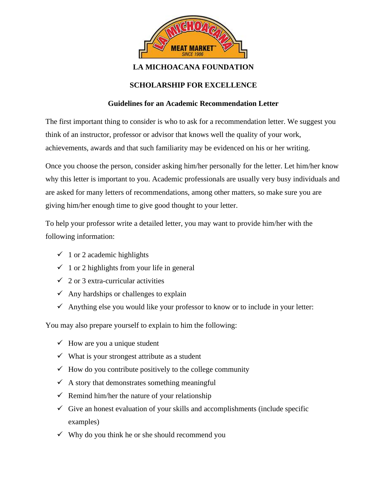

## **LA MICHOACANA FOUNDATION**

## **SCHOLARSHIP FOR EXCELLENCE**

## **Guidelines for an Academic Recommendation Letter**

The first important thing to consider is who to ask for a recommendation letter. We suggest you think of an instructor, professor or advisor that knows well the quality of your work, achievements, awards and that such familiarity may be evidenced on his or her writing.

Once you choose the person, consider asking him/her personally for the letter. Let him/her know why this letter is important to you. Academic professionals are usually very busy individuals and are asked for many letters of recommendations, among other matters, so make sure you are giving him/her enough time to give good thought to your letter.

To help your professor write a detailed letter, you may want to provide him/her with the following information:

- $\checkmark$  1 or 2 academic highlights
- $\checkmark$  1 or 2 highlights from your life in general
- $\checkmark$  2 or 3 extra-curricular activities
- $\checkmark$  Any hardships or challenges to explain
- $\checkmark$  Anything else you would like your professor to know or to include in your letter:

You may also prepare yourself to explain to him the following:

- $\checkmark$  How are you a unique student
- $\checkmark$  What is your strongest attribute as a student
- $\checkmark$  How do you contribute positively to the college community
- $\checkmark$  A story that demonstrates something meaningful
- $\checkmark$  Remind him/her the nature of your relationship
- $\checkmark$  Give an honest evaluation of your skills and accomplishments (include specific examples)
- $\checkmark$  Why do you think he or she should recommend you